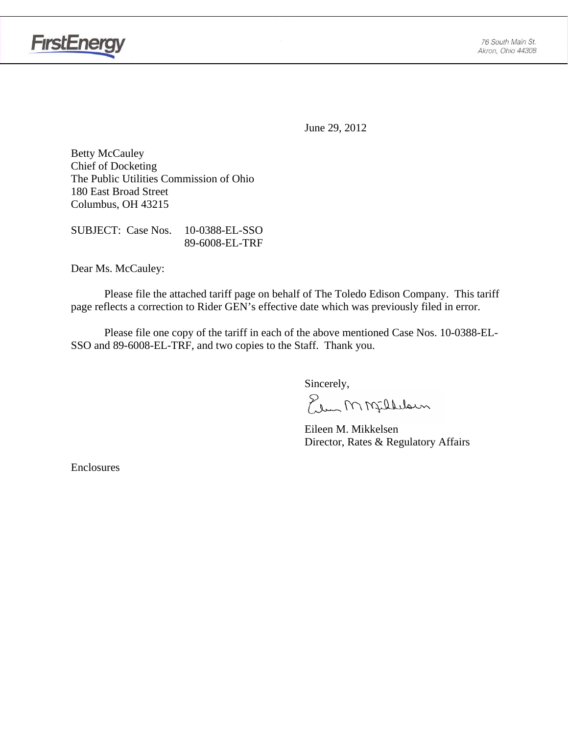

June 29, 2012

Betty McCauley Chief of Docketing The Public Utilities Commission of Ohio 180 East Broad Street Columbus, OH 43215

SUBJECT: Case Nos. 10-0388-EL-SSO 89-6008-EL-TRF

Dear Ms. McCauley:

 Please file the attached tariff page on behalf of The Toledo Edison Company. This tariff page reflects a correction to Rider GEN's effective date which was previously filed in error.

Please file one copy of the tariff in each of the above mentioned Case Nos. 10-0388-EL-SSO and 89-6008-EL-TRF, and two copies to the Staff. Thank you.

Sincerely,

Elem M Millelaun

 Eileen M. Mikkelsen Director, Rates & Regulatory Affairs

Enclosures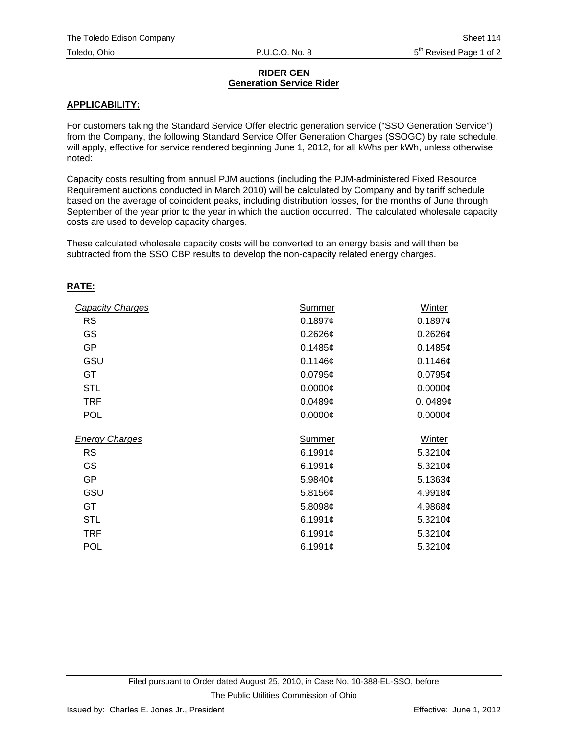## **RIDER GEN Generation Service Rider**

## **APPLICABILITY:**

For customers taking the Standard Service Offer electric generation service ("SSO Generation Service") from the Company, the following Standard Service Offer Generation Charges (SSOGC) by rate schedule, will apply, effective for service rendered beginning June 1, 2012, for all kWhs per kWh, unless otherwise noted:

Capacity costs resulting from annual PJM auctions (including the PJM-administered Fixed Resource Requirement auctions conducted in March 2010) will be calculated by Company and by tariff schedule based on the average of coincident peaks, including distribution losses, for the months of June through September of the year prior to the year in which the auction occurred. The calculated wholesale capacity costs are used to develop capacity charges.

These calculated wholesale capacity costs will be converted to an energy basis and will then be subtracted from the SSO CBP results to develop the non-capacity related energy charges.

## **RATE:**

| <b>Capacity Charges</b> | Summer     | Winter        |
|-------------------------|------------|---------------|
| <b>RS</b>               | 0.1897c    | 0.1897c       |
| GS                      | $0.2626$ ¢ | $0.2626$ ¢    |
| <b>GP</b>               | 0.1485c    | 0.1485¢       |
| GSU                     | 0.1146c    | 0.1146c       |
| <b>GT</b>               | $0.0795$ ¢ | $0.0795$ ¢    |
| <b>STL</b>              | $0.0000$ ¢ | $0.0000$ ¢    |
| <b>TRF</b>              | 0.0489c    | 0.0489c       |
| <b>POL</b>              | $0.0000$ ¢ | $0.0000$ ¢    |
| <b>Energy Charges</b>   | Summer     | Winter        |
| <b>RS</b>               | 6.1991¢    | 5.3210 $¢$    |
| GS                      | 6.1991¢    | 5.3210 $¢$    |
| <b>GP</b>               | 5.9840¢    | 5.1363¢       |
| GSU                     | 5.8156¢    | 4.9918¢       |
| <b>GT</b>               | 5.8098¢    | 4.9868¢       |
| <b>STL</b>              | 6.1991¢    | 5.3210 $¢$    |
| <b>TRF</b>              | 6.1991¢    | 5.3210 $\phi$ |
| <b>POL</b>              | 6.1991¢    | 5.3210¢       |
|                         |            |               |